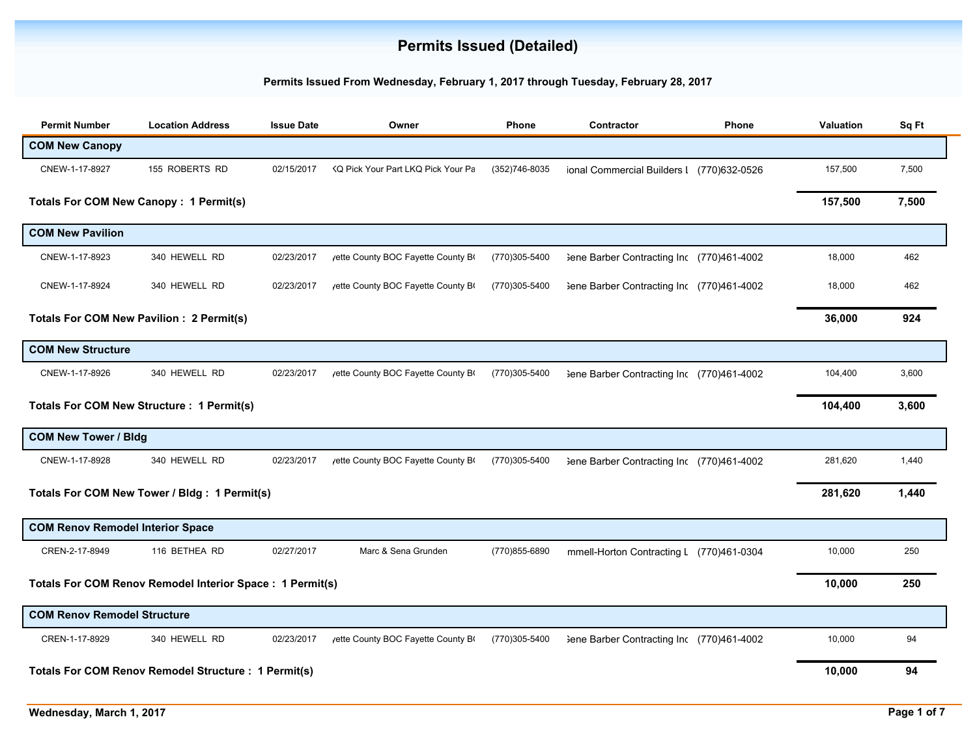## **Permits Issued (Detailed)**

## **Permits Issued From Wednesday, February 1, 2017 through Tuesday, February 28, 2017**

| <b>Permit Number</b>                                      | <b>Location Address</b>                                     | <b>Issue Date</b> | Owner                              | Phone         | Contractor                                | Phone  | Valuation | Sq Ft |
|-----------------------------------------------------------|-------------------------------------------------------------|-------------------|------------------------------------|---------------|-------------------------------------------|--------|-----------|-------|
| <b>COM New Canopy</b>                                     |                                                             |                   |                                    |               |                                           |        |           |       |
| CNEW-1-17-8927                                            | 155 ROBERTS RD                                              | 02/15/2017        | KQ Pick Your Part LKQ Pick Your Pa | (352)746-8035 | ional Commercial Builders I (770)632-0526 |        | 157,500   | 7,500 |
|                                                           | <b>Totals For COM New Canopy: 1 Permit(s)</b>               |                   |                                    |               |                                           |        | 157,500   | 7,500 |
| <b>COM New Pavilion</b>                                   |                                                             |                   |                                    |               |                                           |        |           |       |
| CNEW-1-17-8923                                            | 340 HEWELL RD                                               | 02/23/2017        | yette County BOC Fayette County BO | (770)305-5400 | 3ene Barber Contracting Inc (770)461-4002 |        | 18,000    | 462   |
| CNEW-1-17-8924                                            | 340 HEWELL RD                                               | 02/23/2017        | /ette County BOC Fayette County B  | (770)305-5400 | Sene Barber Contracting Inc (770)461-4002 |        | 18,000    | 462   |
|                                                           | Totals For COM New Pavilion : 2 Permit(s)                   |                   |                                    |               |                                           |        | 36,000    | 924   |
| <b>COM New Structure</b>                                  |                                                             |                   |                                    |               |                                           |        |           |       |
| CNEW-1-17-8926                                            | 340 HEWELL RD                                               | 02/23/2017        | /ette County BOC Fayette County B  | (770)305-5400 | 3ene Barber Contracting Inc (770)461-4002 |        | 104,400   | 3,600 |
|                                                           | Totals For COM New Structure : 1 Permit(s)                  |                   |                                    |               |                                           |        | 104,400   | 3,600 |
| <b>COM New Tower / Bldg</b>                               |                                                             |                   |                                    |               |                                           |        |           |       |
| CNEW-1-17-8928                                            | 340 HEWELL RD                                               | 02/23/2017        | yette County BOC Fayette County Bo | (770)305-5400 | Sene Barber Contracting Inc (770)461-4002 |        | 281,620   | 1,440 |
|                                                           | Totals For COM New Tower / Bldg: 1 Permit(s)                |                   |                                    |               |                                           |        | 281,620   | 1,440 |
| <b>COM Renov Remodel Interior Space</b>                   |                                                             |                   |                                    |               |                                           |        |           |       |
| CREN-2-17-8949                                            | 116 BETHEA RD                                               | 02/27/2017        | Marc & Sena Grunden                | (770)855-6890 | mmell-Horton Contracting L (770)461-0304  |        | 10,000    | 250   |
| Totals For COM Renov Remodel Interior Space : 1 Permit(s) |                                                             |                   |                                    |               |                                           | 10,000 | 250       |       |
| <b>COM Renov Remodel Structure</b>                        |                                                             |                   |                                    |               |                                           |        |           |       |
| CREN-1-17-8929                                            | 340 HEWELL RD                                               | 02/23/2017        | yette County BOC Fayette County BO | (770)305-5400 | 3ene Barber Contracting Inc (770)461-4002 |        | 10,000    | 94    |
|                                                           | <b>Totals For COM Renov Remodel Structure : 1 Permit(s)</b> |                   |                                    |               |                                           |        | 10,000    | 94    |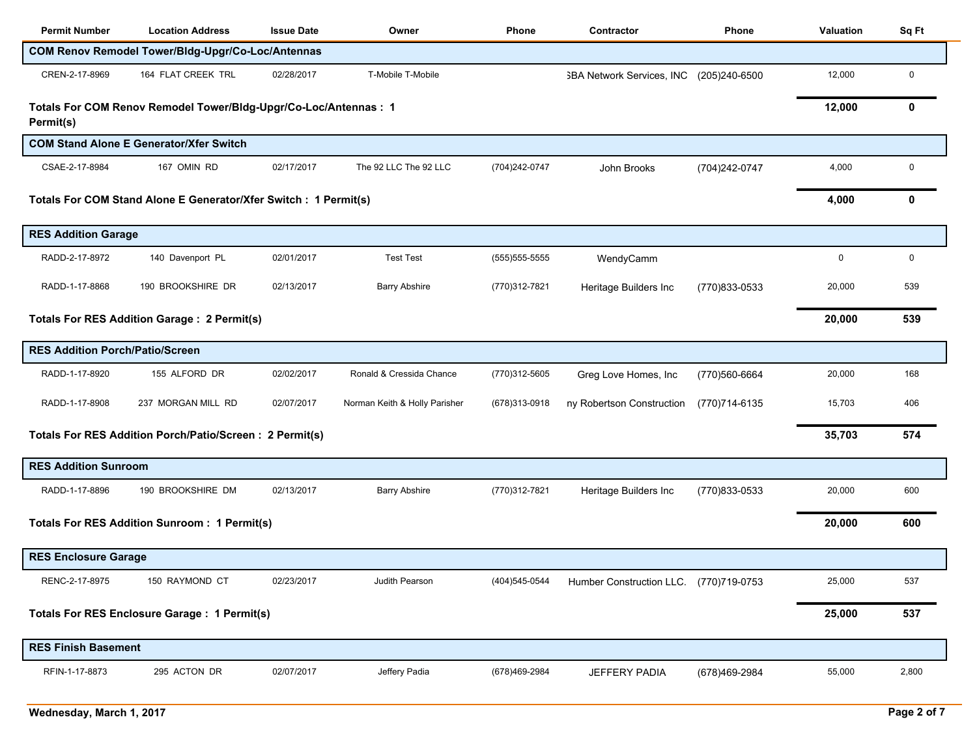| <b>Permit Number</b>                                             | <b>Location Address</b>                                          | <b>Issue Date</b> | Owner                         | Phone            | Contractor                             | <b>Phone</b>   | Valuation   | Sq Ft |
|------------------------------------------------------------------|------------------------------------------------------------------|-------------------|-------------------------------|------------------|----------------------------------------|----------------|-------------|-------|
|                                                                  | COM Renov Remodel Tower/Bldg-Upgr/Co-Loc/Antennas                |                   |                               |                  |                                        |                |             |       |
| CREN-2-17-8969                                                   | 164 FLAT CREEK TRL                                               | 02/28/2017        | T-Mobile T-Mobile             |                  | <b>SBA Network Services, INC</b>       | (205)240-6500  | 12,000      | 0     |
| Permit(s)                                                        | Totals For COM Renov Remodel Tower/Bldg-Upgr/Co-Loc/Antennas : 1 |                   |                               |                  |                                        |                | 12,000      | 0     |
|                                                                  | <b>COM Stand Alone E Generator/Xfer Switch</b>                   |                   |                               |                  |                                        |                |             |       |
| CSAE-2-17-8984                                                   | 167 OMIN RD                                                      | 02/17/2017        | The 92 LLC The 92 LLC         | (704)242-0747    | John Brooks                            | (704) 242-0747 | 4,000       | 0     |
| Totals For COM Stand Alone E Generator/Xfer Switch : 1 Permit(s) |                                                                  |                   |                               |                  |                                        |                | 4,000       | 0     |
| <b>RES Addition Garage</b>                                       |                                                                  |                   |                               |                  |                                        |                |             |       |
| RADD-2-17-8972                                                   | 140 Davenport PL                                                 | 02/01/2017        | <b>Test Test</b>              | $(555)$ 555-5555 | WendyCamm                              |                | $\mathbf 0$ | 0     |
| RADD-1-17-8868                                                   | 190 BROOKSHIRE DR                                                | 02/13/2017        | <b>Barry Abshire</b>          | (770)312-7821    | Heritage Builders Inc                  | (770)833-0533  | 20,000      | 539   |
|                                                                  | <b>Totals For RES Addition Garage: 2 Permit(s)</b>               |                   |                               |                  |                                        |                | 20,000      | 539   |
| <b>RES Addition Porch/Patio/Screen</b>                           |                                                                  |                   |                               |                  |                                        |                |             |       |
| RADD-1-17-8920                                                   | 155 ALFORD DR                                                    | 02/02/2017        | Ronald & Cressida Chance      | (770)312-5605    | Greg Love Homes, Inc                   | (770)560-6664  | 20,000      | 168   |
| RADD-1-17-8908                                                   | 237 MORGAN MILL RD                                               | 02/07/2017        | Norman Keith & Holly Parisher | (678) 313-0918   | ny Robertson Construction              | (770)714-6135  | 15,703      | 406   |
|                                                                  | Totals For RES Addition Porch/Patio/Screen: 2 Permit(s)          |                   |                               |                  |                                        |                | 35,703      | 574   |
| <b>RES Addition Sunroom</b>                                      |                                                                  |                   |                               |                  |                                        |                |             |       |
| RADD-1-17-8896                                                   | 190 BROOKSHIRE DM                                                | 02/13/2017        | <b>Barry Abshire</b>          | (770)312-7821    | Heritage Builders Inc                  | (770)833-0533  | 20,000      | 600   |
|                                                                  | <b>Totals For RES Addition Sunroom: 1 Permit(s)</b>              |                   |                               |                  |                                        |                | 20,000      | 600   |
| <b>RES Enclosure Garage</b>                                      |                                                                  |                   |                               |                  |                                        |                |             |       |
| RENC-2-17-8975                                                   | 150 RAYMOND CT                                                   | 02/23/2017        | Judith Pearson                | (404) 545-0544   | Humber Construction LLC. (770)719-0753 |                | 25,000      | 537   |
|                                                                  | <b>Totals For RES Enclosure Garage: 1 Permit(s)</b>              |                   |                               |                  |                                        |                | 25,000      | 537   |
| <b>RES Finish Basement</b>                                       |                                                                  |                   |                               |                  |                                        |                |             |       |
| RFIN-1-17-8873                                                   | 295 ACTON DR                                                     | 02/07/2017        | Jeffery Padia                 | (678)469-2984    | JEFFERY PADIA                          | (678)469-2984  | 55,000      | 2,800 |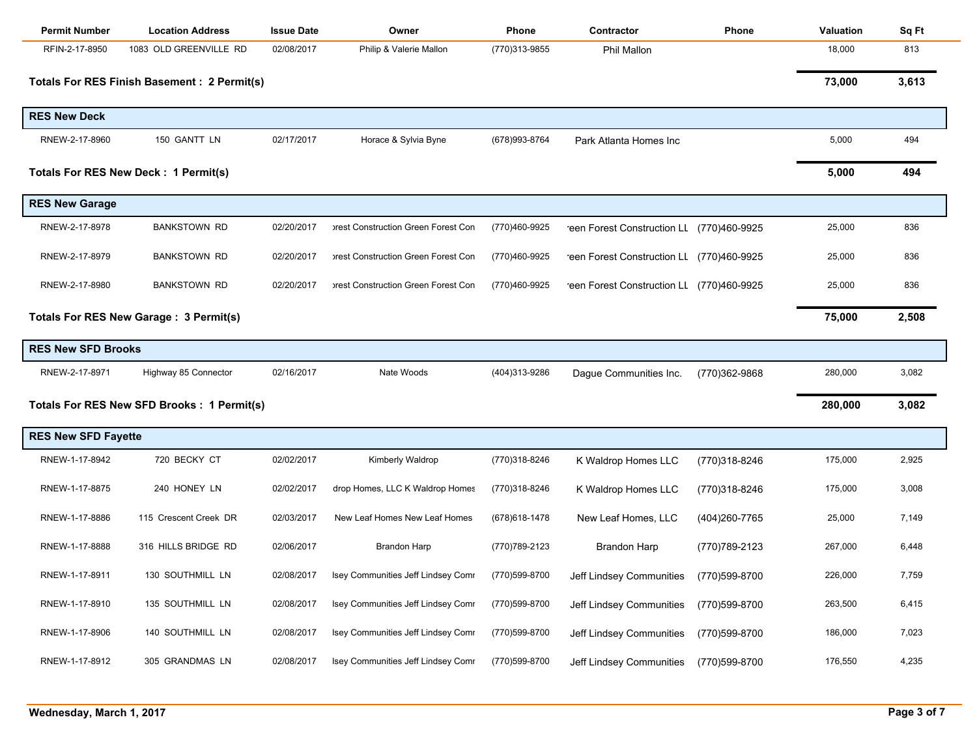| <b>Permit Number</b>       | <b>Location Address</b>                      | <b>Issue Date</b> | Owner                               | <b>Phone</b>   | Contractor                                | <b>Phone</b>   | Valuation | Sq Ft |
|----------------------------|----------------------------------------------|-------------------|-------------------------------------|----------------|-------------------------------------------|----------------|-----------|-------|
| RFIN-2-17-8950             | 1083 OLD GREENVILLE RD                       | 02/08/2017        | Philip & Valerie Mallon             | (770)313-9855  | <b>Phil Mallon</b>                        |                | 18,000    | 813   |
|                            | Totals For RES Finish Basement : 2 Permit(s) |                   |                                     |                |                                           |                | 73,000    | 3,613 |
| <b>RES New Deck</b>        |                                              |                   |                                     |                |                                           |                |           |       |
| RNEW-2-17-8960             | 150 GANTT LN                                 | 02/17/2017        | Horace & Sylvia Byne                | (678) 993-8764 | Park Atlanta Homes Inc                    |                | 5,000     | 494   |
|                            | Totals For RES New Deck: 1 Permit(s)         |                   |                                     |                |                                           |                | 5,000     | 494   |
| <b>RES New Garage</b>      |                                              |                   |                                     |                |                                           |                |           |       |
| RNEW-2-17-8978             | <b>BANKSTOWN RD</b>                          | 02/20/2017        | prest Construction Green Forest Con | (770)460-9925  | reen Forest Construction LL (770)460-9925 |                | 25,000    | 836   |
| RNEW-2-17-8979             | <b>BANKSTOWN RD</b>                          | 02/20/2017        | prest Construction Green Forest Con | (770)460-9925  | reen Forest Construction LL (770)460-9925 |                | 25,000    | 836   |
| RNEW-2-17-8980             | <b>BANKSTOWN RD</b>                          | 02/20/2017        | prest Construction Green Forest Con | (770)460-9925  | reen Forest Construction LL (770)460-9925 |                | 25,000    | 836   |
|                            | Totals For RES New Garage: 3 Permit(s)       |                   |                                     |                |                                           |                | 75,000    | 2,508 |
| <b>RES New SFD Brooks</b>  |                                              |                   |                                     |                |                                           |                |           |       |
| RNEW-2-17-8971             | Highway 85 Connector                         | 02/16/2017        | Nate Woods                          | (404)313-9286  | Dague Communities Inc.                    | (770)362-9868  | 280,000   | 3,082 |
|                            | Totals For RES New SFD Brooks : 1 Permit(s)  |                   |                                     |                |                                           |                | 280,000   | 3,082 |
| <b>RES New SFD Fayette</b> |                                              |                   |                                     |                |                                           |                |           |       |
| RNEW-1-17-8942             | 720 BECKY CT                                 | 02/02/2017        | Kimberly Waldrop                    | (770)318-8246  | K Waldrop Homes LLC                       | (770)318-8246  | 175,000   | 2,925 |
| RNEW-1-17-8875             | 240 HONEY LN                                 | 02/02/2017        | drop Homes, LLC K Waldrop Homes     | (770)318-8246  | K Waldrop Homes LLC                       | (770)318-8246  | 175,000   | 3,008 |
| RNEW-1-17-8886             | 115 Crescent Creek DR                        | 02/03/2017        | New Leaf Homes New Leaf Homes       | (678) 618-1478 | New Leaf Homes, LLC                       | (404) 260-7765 | 25,000    | 7,149 |
| RNEW-1-17-8888             | 316 HILLS BRIDGE RD                          | 02/06/2017        | <b>Brandon Harp</b>                 | (770) 789-2123 | Brandon Harp                              | (770) 789-2123 | 267,000   | 6,448 |
| RNEW-1-17-8911             | 130 SOUTHMILL LN                             | 02/08/2017        | Isey Communities Jeff Lindsey Comr  | (770)599-8700  | Jeff Lindsey Communities                  | (770)599-8700  | 226,000   | 7,759 |
| RNEW-1-17-8910             | 135 SOUTHMILL LN                             | 02/08/2017        | Isey Communities Jeff Lindsey Comr  | (770)599-8700  | Jeff Lindsey Communities                  | (770)599-8700  | 263,500   | 6,415 |
| RNEW-1-17-8906             | 140 SOUTHMILL LN                             | 02/08/2017        | Isey Communities Jeff Lindsey Comr  | (770)599-8700  | Jeff Lindsey Communities                  | (770)599-8700  | 186,000   | 7,023 |
| RNEW-1-17-8912             | 305 GRANDMAS LN                              | 02/08/2017        | Isey Communities Jeff Lindsey Comr  | (770)599-8700  | Jeff Lindsey Communities                  | (770)599-8700  | 176,550   | 4,235 |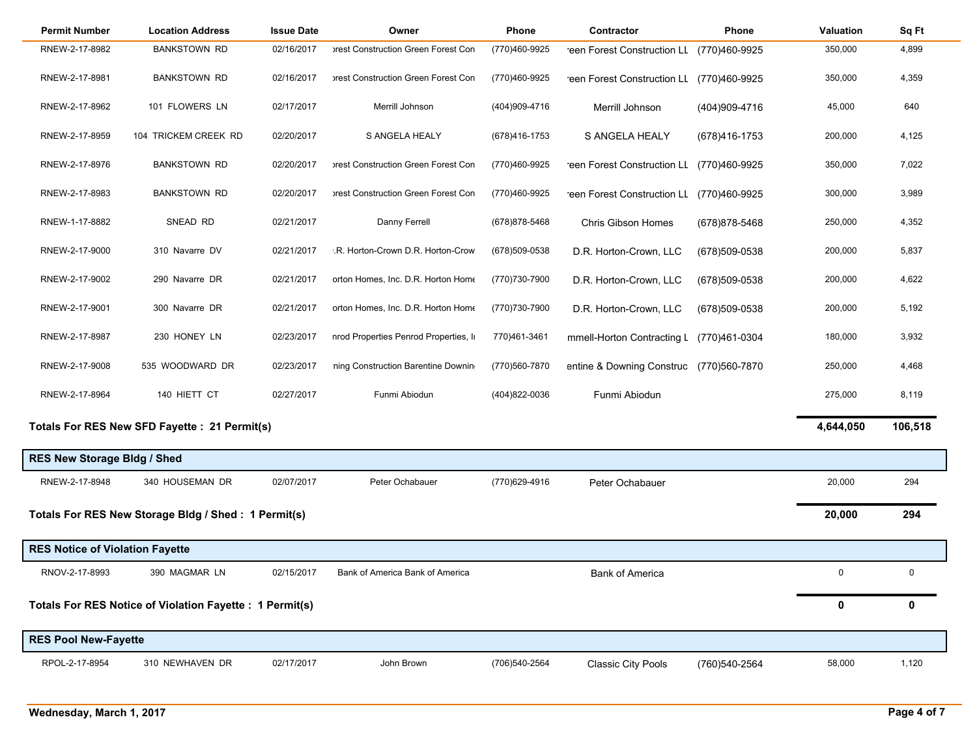| <b>Permit Number</b>                   | <b>Location Address</b>                                  | <b>Issue Date</b> | Owner                                 | Phone          | Contractor                                | <b>Phone</b>   | <b>Valuation</b> | Sq Ft   |
|----------------------------------------|----------------------------------------------------------|-------------------|---------------------------------------|----------------|-------------------------------------------|----------------|------------------|---------|
| RNEW-2-17-8982                         | <b>BANKSTOWN RD</b>                                      | 02/16/2017        | prest Construction Green Forest Con   | (770)460-9925  | reen Forest Construction LL               | (770)460-9925  | 350,000          | 4,899   |
| RNEW-2-17-8981                         | <b>BANKSTOWN RD</b>                                      | 02/16/2017        | prest Construction Green Forest Con   | (770)460-9925  | reen Forest Construction LL (770)460-9925 |                | 350,000          | 4,359   |
| RNEW-2-17-8962                         | 101 FLOWERS LN                                           | 02/17/2017        | Merrill Johnson                       | (404)909-4716  | Merrill Johnson                           | (404)909-4716  | 45,000           | 640     |
| RNEW-2-17-8959                         | 104 TRICKEM CREEK RD                                     | 02/20/2017        | S ANGELA HEALY                        | (678) 416-1753 | S ANGELA HEALY                            | (678)416-1753  | 200,000          | 4,125   |
| RNEW-2-17-8976                         | <b>BANKSTOWN RD</b>                                      | 02/20/2017        | prest Construction Green Forest Con   | (770)460-9925  | reen Forest Construction LL (770)460-9925 |                | 350,000          | 7,022   |
| RNEW-2-17-8983                         | <b>BANKSTOWN RD</b>                                      | 02/20/2017        | prest Construction Green Forest Con   | (770)460-9925  | reen Forest Construction LL (770)460-9925 |                | 300,000          | 3,989   |
| RNEW-1-17-8882                         | SNEAD RD                                                 | 02/21/2017        | Danny Ferrell                         | (678) 878-5468 | Chris Gibson Homes                        | (678) 878-5468 | 250,000          | 4,352   |
| RNEW-2-17-9000                         | 310 Navarre DV                                           | 02/21/2017        | .R. Horton-Crown D.R. Horton-Crow     | (678) 509-0538 | D.R. Horton-Crown, LLC                    | (678)509-0538  | 200,000          | 5,837   |
| RNEW-2-17-9002                         | 290 Navarre DR                                           | 02/21/2017        | orton Homes, Inc. D.R. Horton Home    | (770)730-7900  | D.R. Horton-Crown, LLC                    | (678)509-0538  | 200,000          | 4,622   |
| RNEW-2-17-9001                         | 300 Navarre DR                                           | 02/21/2017        | orton Homes, Inc. D.R. Horton Home    | (770) 730-7900 | D.R. Horton-Crown, LLC                    | (678)509-0538  | 200,000          | 5,192   |
| RNEW-2-17-8987                         | 230 HONEY LN                                             | 02/23/2017        | nrod Properties Penrod Properties, In | 770)461-3461   | mmell-Horton Contracting L                | (770)461-0304  | 180,000          | 3,932   |
| RNEW-2-17-9008                         | 535 WOODWARD DR                                          | 02/23/2017        | ning Construction Barentine Downin    | (770)560-7870  | entine & Downing Construc                 | (770)560-7870  | 250,000          | 4,468   |
| RNEW-2-17-8964                         | 140 HIETT CT                                             | 02/27/2017        | Funmi Abiodun                         | (404)822-0036  | Funmi Abiodun                             |                | 275,000          | 8,119   |
|                                        | Totals For RES New SFD Fayette : 21 Permit(s)            |                   |                                       |                |                                           |                | 4,644,050        | 106,518 |
| <b>RES New Storage Bldg / Shed</b>     |                                                          |                   |                                       |                |                                           |                |                  |         |
| RNEW-2-17-8948                         | 340 HOUSEMAN DR                                          | 02/07/2017        | Peter Ochabauer                       | (770)629-4916  | Peter Ochabauer                           |                | 20,000           | 294     |
|                                        | Totals For RES New Storage Bldg / Shed: 1 Permit(s)      |                   |                                       |                |                                           |                | 20,000           | 294     |
| <b>RES Notice of Violation Fayette</b> |                                                          |                   |                                       |                |                                           |                |                  |         |
| RNOV-2-17-8993                         | 390 MAGMAR LN                                            | 02/15/2017        | Bank of America Bank of America       |                | <b>Bank of America</b>                    |                | 0                | 0       |
|                                        | Totals For RES Notice of Violation Fayette : 1 Permit(s) |                   |                                       |                |                                           |                | 0                | 0       |
| <b>RES Pool New-Fayette</b>            |                                                          |                   |                                       |                |                                           |                |                  |         |
| RPOL-2-17-8954                         | 310 NEWHAVEN DR                                          | 02/17/2017        | John Brown                            | (706)540-2564  | <b>Classic City Pools</b>                 | (760) 540-2564 | 58,000           | 1,120   |

۰.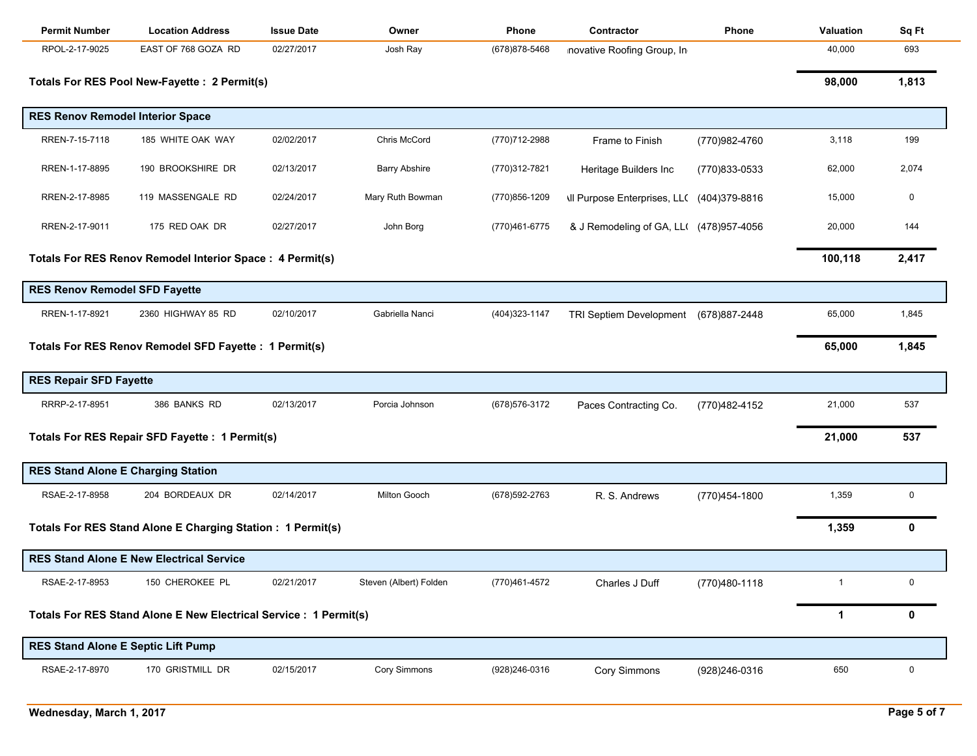| <b>Permit Number</b>                      | <b>Location Address</b>                                           | <b>Issue Date</b> | Owner                  | <b>Phone</b>   | Contractor                                        | Phone         | Valuation      | Sq Ft     |
|-------------------------------------------|-------------------------------------------------------------------|-------------------|------------------------|----------------|---------------------------------------------------|---------------|----------------|-----------|
| RPOL-2-17-9025                            | EAST OF 768 GOZA RD                                               | 02/27/2017        | Josh Ray               | (678) 878-5468 | novative Roofing Group, In                        |               | 40,000         | 693       |
|                                           | Totals For RES Pool New-Fayette : 2 Permit(s)                     |                   |                        |                |                                                   |               | 98,000         | 1,813     |
| <b>RES Renov Remodel Interior Space</b>   |                                                                   |                   |                        |                |                                                   |               |                |           |
| RREN-7-15-7118                            | 185 WHITE OAK WAY                                                 | 02/02/2017        | Chris McCord           | (770)712-2988  | Frame to Finish                                   | (770)982-4760 | 3,118          | 199       |
| RREN-1-17-8895                            | 190 BROOKSHIRE DR                                                 | 02/13/2017        | <b>Barry Abshire</b>   | (770)312-7821  | Heritage Builders Inc                             | (770)833-0533 | 62,000         | 2,074     |
| RREN-2-17-8985                            | 119 MASSENGALE RD                                                 | 02/24/2017        | Mary Ruth Bowman       | (770) 856-1209 | <b>\Il Purpose Enterprises, LL( (404)379-8816</b> |               | 15,000         | 0         |
| RREN-2-17-9011                            | 175 RED OAK DR                                                    | 02/27/2017        | John Borg              | (770)461-6775  | & J Remodeling of GA, LL( (478) 957-4056          |               | 20,000         | 144       |
|                                           | Totals For RES Renov Remodel Interior Space : 4 Permit(s)         |                   |                        |                |                                                   |               | 100,118        | 2,417     |
| <b>RES Renov Remodel SFD Fayette</b>      |                                                                   |                   |                        |                |                                                   |               |                |           |
| RREN-1-17-8921                            | 2360 HIGHWAY 85 RD                                                | 02/10/2017        | Gabriella Nanci        | (404) 323-1147 | <b>TRI Septiem Development</b>                    | (678)887-2448 | 65,000         | 1,845     |
|                                           | Totals For RES Renov Remodel SFD Fayette : 1 Permit(s)            |                   |                        |                |                                                   |               | 65,000         | 1,845     |
| <b>RES Repair SFD Fayette</b>             |                                                                   |                   |                        |                |                                                   |               |                |           |
| RRRP-2-17-8951                            | 386 BANKS RD                                                      | 02/13/2017        | Porcia Johnson         | (678) 576-3172 | Paces Contracting Co.                             | (770)482-4152 | 21,000         | 537       |
|                                           | Totals For RES Repair SFD Fayette : 1 Permit(s)                   |                   |                        |                |                                                   |               | 21,000         | 537       |
| <b>RES Stand Alone E Charging Station</b> |                                                                   |                   |                        |                |                                                   |               |                |           |
| RSAE-2-17-8958                            | 204 BORDEAUX DR                                                   | 02/14/2017        | Milton Gooch           | (678) 592-2763 | R. S. Andrews                                     | (770)454-1800 | 1,359          | $\pmb{0}$ |
|                                           | Totals For RES Stand Alone E Charging Station : 1 Permit(s)       |                   |                        |                |                                                   |               | 1,359          | 0         |
|                                           | <b>RES Stand Alone E New Electrical Service</b>                   |                   |                        |                |                                                   |               |                |           |
| RSAE-2-17-8953                            | 150 CHEROKEE PL                                                   | 02/21/2017        | Steven (Albert) Folden | (770)461-4572  | Charles J Duff                                    | (770)480-1118 | $\overline{1}$ | 0         |
|                                           | Totals For RES Stand Alone E New Electrical Service : 1 Permit(s) |                   |                        |                |                                                   |               | $\mathbf 1$    | 0         |
| <b>RES Stand Alone E Septic Lift Pump</b> |                                                                   |                   |                        |                |                                                   |               |                |           |
| RSAE-2-17-8970                            | 170 GRISTMILL DR                                                  | 02/15/2017        | <b>Cory Simmons</b>    | (928) 246-0316 | Cory Simmons                                      | (928)246-0316 | 650            | 0         |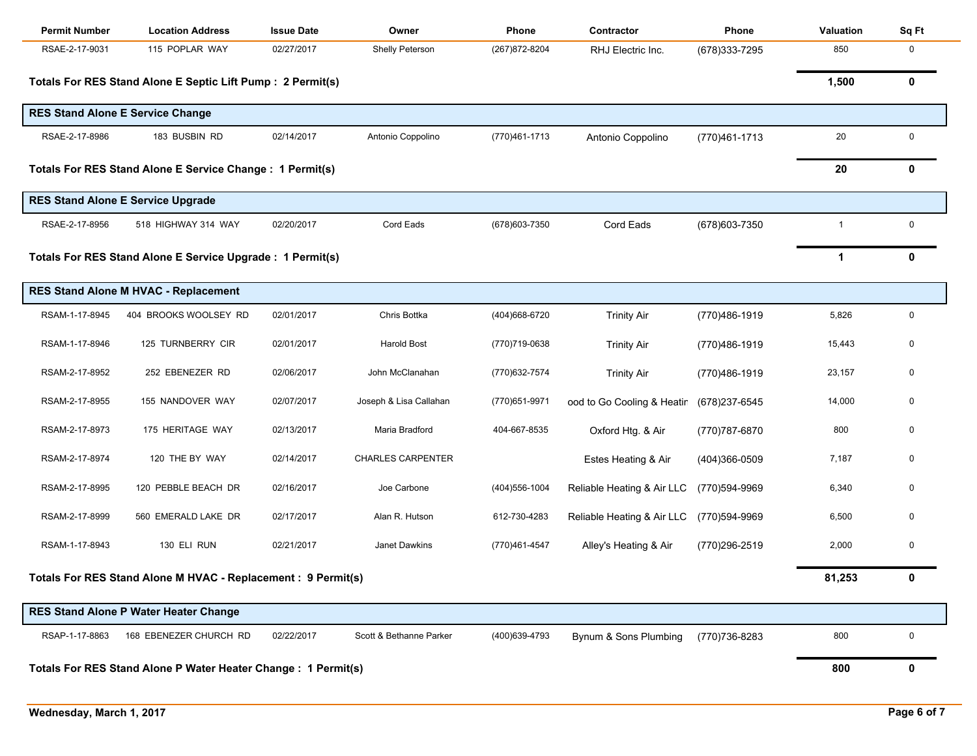| <b>Permit Number</b>                                           | <b>Location Address</b>                                     | <b>Issue Date</b> | Owner                    | Phone          | Contractor                 | Phone          | Valuation               | Sq Ft        |
|----------------------------------------------------------------|-------------------------------------------------------------|-------------------|--------------------------|----------------|----------------------------|----------------|-------------------------|--------------|
| RSAE-2-17-9031                                                 | 115 POPLAR WAY                                              | 02/27/2017        | Shelly Peterson          | (267) 872-8204 | RHJ Electric Inc.          | (678) 333-7295 | 850                     | $\mathbf 0$  |
|                                                                | Totals For RES Stand Alone E Septic Lift Pump : 2 Permit(s) |                   |                          |                |                            |                | 1,500                   | 0            |
|                                                                | <b>RES Stand Alone E Service Change</b>                     |                   |                          |                |                            |                |                         |              |
| RSAE-2-17-8986                                                 | 183 BUSBIN RD                                               | 02/14/2017        | Antonio Coppolino        | (770)461-1713  | Antonio Coppolino          | (770)461-1713  | 20                      | $\mathbf 0$  |
|                                                                | Totals For RES Stand Alone E Service Change : 1 Permit(s)   |                   |                          |                |                            |                | 20                      | $\mathbf{0}$ |
|                                                                | <b>RES Stand Alone E Service Upgrade</b>                    |                   |                          |                |                            |                |                         |              |
| RSAE-2-17-8956                                                 | 518 HIGHWAY 314 WAY                                         | 02/20/2017        | Cord Eads                | (678) 603-7350 | Cord Eads                  | (678) 603-7350 | $\overline{\mathbf{1}}$ | 0            |
|                                                                | Totals For RES Stand Alone E Service Upgrade : 1 Permit(s)  |                   |                          |                |                            |                | $\mathbf{1}$            | $\mathbf{0}$ |
|                                                                | <b>RES Stand Alone M HVAC - Replacement</b>                 |                   |                          |                |                            |                |                         |              |
| RSAM-1-17-8945                                                 | 404 BROOKS WOOLSEY RD                                       | 02/01/2017        | Chris Bottka             | (404) 668-6720 | <b>Trinity Air</b>         | (770)486-1919  | 5,826                   | 0            |
| RSAM-1-17-8946                                                 | 125 TURNBERRY CIR                                           | 02/01/2017        | <b>Harold Bost</b>       | (770)719-0638  | <b>Trinity Air</b>         | (770)486-1919  | 15,443                  | 0            |
| RSAM-2-17-8952                                                 | 252 EBENEZER RD                                             | 02/06/2017        | John McClanahan          | (770) 632-7574 | <b>Trinity Air</b>         | (770)486-1919  | 23,157                  | 0            |
| RSAM-2-17-8955                                                 | 155 NANDOVER WAY                                            | 02/07/2017        | Joseph & Lisa Callahan   | (770) 651-9971 | ood to Go Cooling & Heatir | (678)237-6545  | 14,000                  | 0            |
| RSAM-2-17-8973                                                 | 175 HERITAGE WAY                                            | 02/13/2017        | Maria Bradford           | 404-667-8535   | Oxford Htg. & Air          | (770) 787-6870 | 800                     | 0            |
| RSAM-2-17-8974                                                 | 120 THE BY WAY                                              | 02/14/2017        | <b>CHARLES CARPENTER</b> |                | Estes Heating & Air        | (404)366-0509  | 7,187                   | 0            |
| RSAM-2-17-8995                                                 | 120 PEBBLE BEACH DR                                         | 02/16/2017        | Joe Carbone              | (404) 556-1004 | Reliable Heating & Air LLC | (770)594-9969  | 6,340                   | 0            |
| RSAM-2-17-8999                                                 | 560 EMERALD LAKE DR                                         | 02/17/2017        | Alan R. Hutson           | 612-730-4283   | Reliable Heating & Air LLC | (770)594-9969  | 6,500                   | 0            |
| RSAM-1-17-8943                                                 | 130 ELI RUN                                                 | 02/21/2017        | Janet Dawkins            | (770)461-4547  | Alley's Heating & Air      | (770)296-2519  | 2,000                   | 0            |
| Totals For RES Stand Alone M HVAC - Replacement : 9 Permit(s)  |                                                             |                   |                          |                |                            |                | 81,253                  | 0            |
|                                                                | <b>RES Stand Alone P Water Heater Change</b>                |                   |                          |                |                            |                |                         |              |
| RSAP-1-17-8863                                                 | 168 EBENEZER CHURCH RD                                      | 02/22/2017        | Scott & Bethanne Parker  | (400)639-4793  | Bynum & Sons Plumbing      | (770) 736-8283 | 800                     | 0            |
| Totals For RES Stand Alone P Water Heater Change : 1 Permit(s) |                                                             |                   |                          |                |                            |                |                         | 0            |